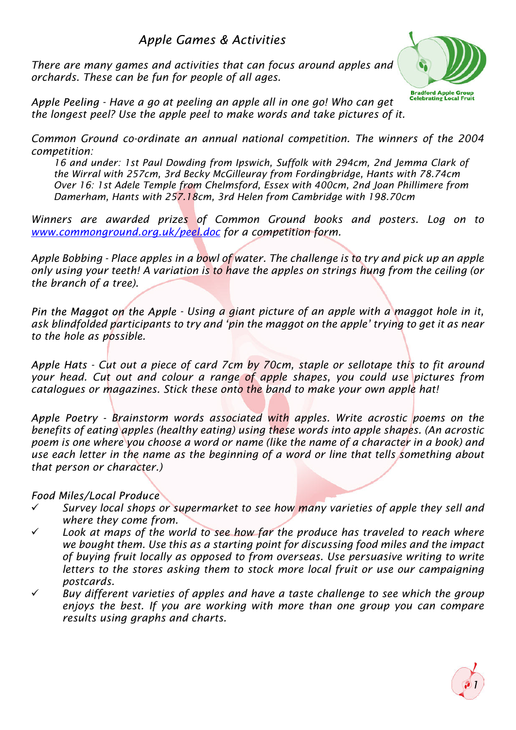# Apple Games & Activities

*There are many games and activities that can focus around apples and orchards. These can be fun for people of all ages.*



*- Have a go at peeling an apple all in one go! Who can get the longest peel? Use the apple peel to make words and take pictures of it.*

*Common Ground co-ordinate an annual national competition. The winners of the 2004 competition:*

*16 and under: 1st Paul Dowding from Ipswich, Suffolk with 294cm, 2nd Jemma Clark of the Wirral with 257cm, 3rd Becky McGilleuray from Fordingbridge, Hants with 78.74cm Over 16: 1st Adele Temple from Chelmsford, Essex with 400cm, 2nd Joan Phillimere from Damerham, Hants with 257.18cm, 3rd Helen from Cambridge with 198.70cm*

*Winners are awarded prizes of Common Ground books and posters. Log on to www.commonground.org.uk/peel.doc for a competition form.*

*Apple Bobbing - Place apples in a bowl of water. The challenge is to try and pick up an apple only using your teeth! A variation is to have the apples on strings hung from the ceiling (or the branch of a tree).*

Pin the Maggot on the Apple - Using a giant picture of an apple with a maggot hole in it, *ask blindfolded participants to try and 'pin the maggot on the apple' trying to get it as near to the hole as possible.*

Apple Hats - Cut out a piece of card 7cm by 70cm, staple or sellotape this to fit around *your head. Cut out and colour a range of apple shapes, you could use pictures from catalogues or magazines. Stick these onto the band to make your own apple hat!*

 *Brainstorm words associated with apples. Write acrostic poems on the benefits of eating apples (healthy eating) using these words into apple shapes.(An acrostic poem is one where you choose a word or name (like the name of a character in a book) and use each letter in the name as the beginning of a word or line that tells something about that person or character.)*

#### Food Miles/Local Produce

- ¸ *Survey local shops or supermarket to see how many varieties of apple they sell and where they come from.*
- ¸ *Look at maps of the world to see how far the produce has traveled to reach where we bought them. Use this as a starting point for discussing food miles and the impact of buying fruit locally as opposed to from overseas. Use persuasive writing to write letters to the stores asking them to stock more local fruit or use our campaigning postcards.*
- ¸ *Buy different varieties of apples and have a taste challenge to see which the group enjoys the best. If you are working with more than one group you can compare results using graphs and charts.*